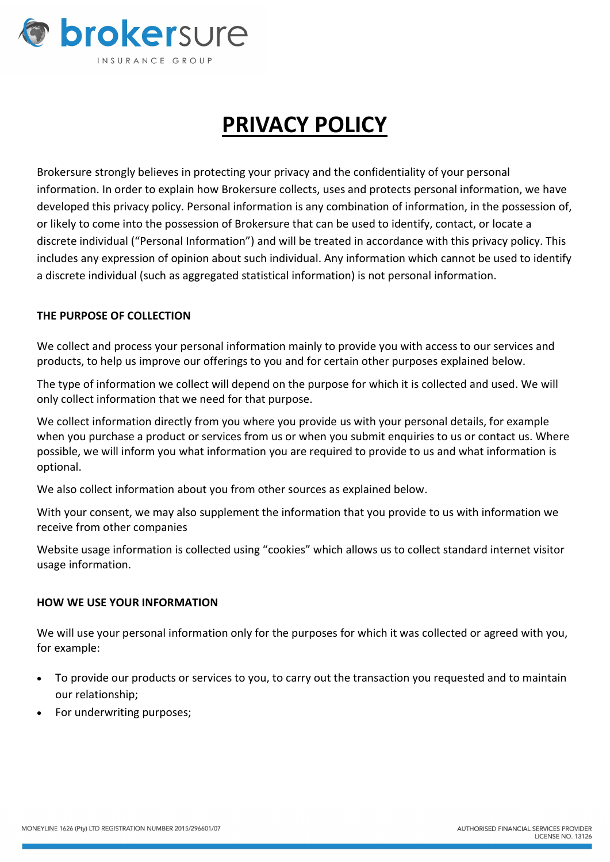

# PRIVACY POLICY

Brokersure strongly believes in protecting your privacy and the confidentiality of your personal information. In order to explain how Brokersure collects, uses and protects personal information, we have developed this privacy policy. Personal information is any combination of information, in the possession of, or likely to come into the possession of Brokersure that can be used to identify, contact, or locate a discrete individual ("Personal Information") and will be treated in accordance with this privacy policy. This includes any expression of opinion about such individual. Any information which cannot be used to identify a discrete individual (such as aggregated statistical information) is not personal information.

# THE PURPOSE OF COLLECTION

We collect and process your personal information mainly to provide you with access to our services and products, to help us improve our offerings to you and for certain other purposes explained below.

The type of information we collect will depend on the purpose for which it is collected and used. We will only collect information that we need for that purpose.

We collect information directly from you where you provide us with your personal details, for example when you purchase a product or services from us or when you submit enquiries to us or contact us. Where possible, we will inform you what information you are required to provide to us and what information is optional.

We also collect information about you from other sources as explained below.

With your consent, we may also supplement the information that you provide to us with information we receive from other companies

Website usage information is collected using "cookies" which allows us to collect standard internet visitor usage information.

### HOW WE USE YOUR INFORMATION

We will use your personal information only for the purposes for which it was collected or agreed with you, for example:

- To provide our products or services to you, to carry out the transaction you requested and to maintain our relationship;
- For underwriting purposes;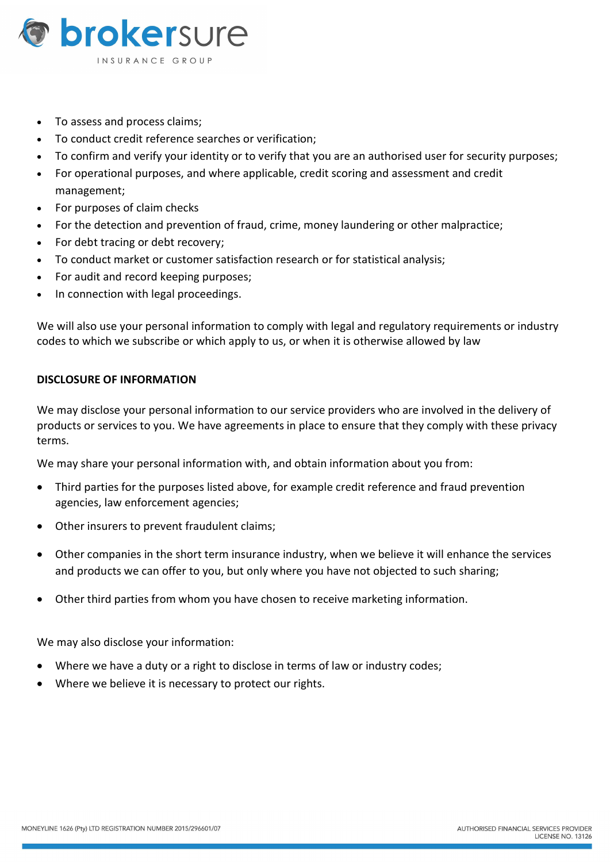

- To assess and process claims:
- To conduct credit reference searches or verification;
- To confirm and verify your identity or to verify that you are an authorised user for security purposes;
- For operational purposes, and where applicable, credit scoring and assessment and credit management;
- For purposes of claim checks
- For the detection and prevention of fraud, crime, money laundering or other malpractice;
- For debt tracing or debt recovery;
- To conduct market or customer satisfaction research or for statistical analysis;
- For audit and record keeping purposes;
- In connection with legal proceedings.

We will also use your personal information to comply with legal and regulatory requirements or industry codes to which we subscribe or which apply to us, or when it is otherwise allowed by law

# DISCLOSURE OF INFORMATION

We may disclose your personal information to our service providers who are involved in the delivery of products or services to you. We have agreements in place to ensure that they comply with these privacy terms.

We may share your personal information with, and obtain information about you from:

- Third parties for the purposes listed above, for example credit reference and fraud prevention agencies, law enforcement agencies;
- Other insurers to prevent fraudulent claims;
- Other companies in the short term insurance industry, when we believe it will enhance the services and products we can offer to you, but only where you have not objected to such sharing;
- Other third parties from whom you have chosen to receive marketing information.

We may also disclose your information:

- Where we have a duty or a right to disclose in terms of law or industry codes;
- Where we believe it is necessary to protect our rights.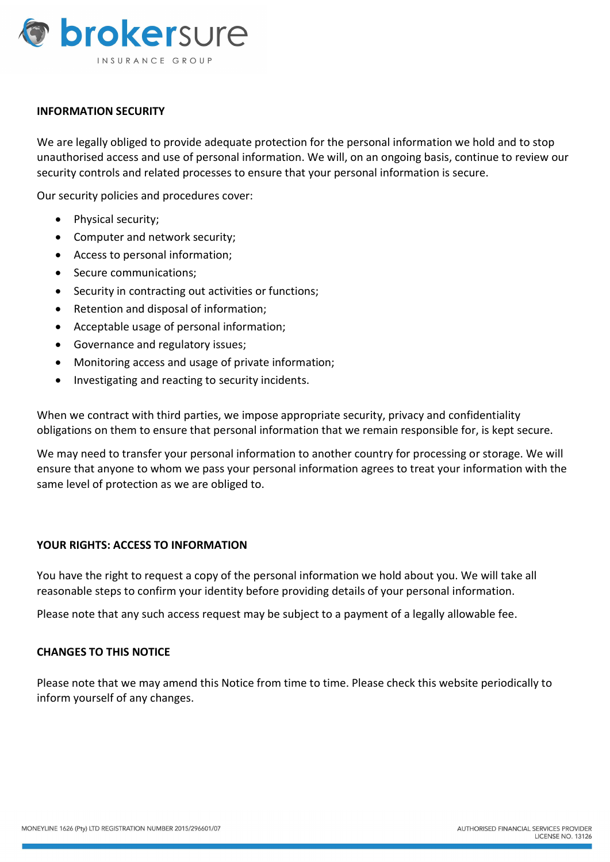

## INFORMATION SECURITY

We are legally obliged to provide adequate protection for the personal information we hold and to stop unauthorised access and use of personal information. We will, on an ongoing basis, continue to review our security controls and related processes to ensure that your personal information is secure.

Our security policies and procedures cover:

- Physical security;
- Computer and network security;
- Access to personal information;
- Secure communications;
- Security in contracting out activities or functions;
- Retention and disposal of information:
- Acceptable usage of personal information;
- Governance and regulatory issues;
- Monitoring access and usage of private information;
- Investigating and reacting to security incidents.

When we contract with third parties, we impose appropriate security, privacy and confidentiality obligations on them to ensure that personal information that we remain responsible for, is kept secure.

We may need to transfer your personal information to another country for processing or storage. We will ensure that anyone to whom we pass your personal information agrees to treat your information with the same level of protection as we are obliged to.

### YOUR RIGHTS: ACCESS TO INFORMATION

You have the right to request a copy of the personal information we hold about you. We will take all reasonable steps to confirm your identity before providing details of your personal information.

Please note that any such access request may be subject to a payment of a legally allowable fee.

### CHANGES TO THIS NOTICE

Please note that we may amend this Notice from time to time. Please check this website periodically to inform yourself of any changes.